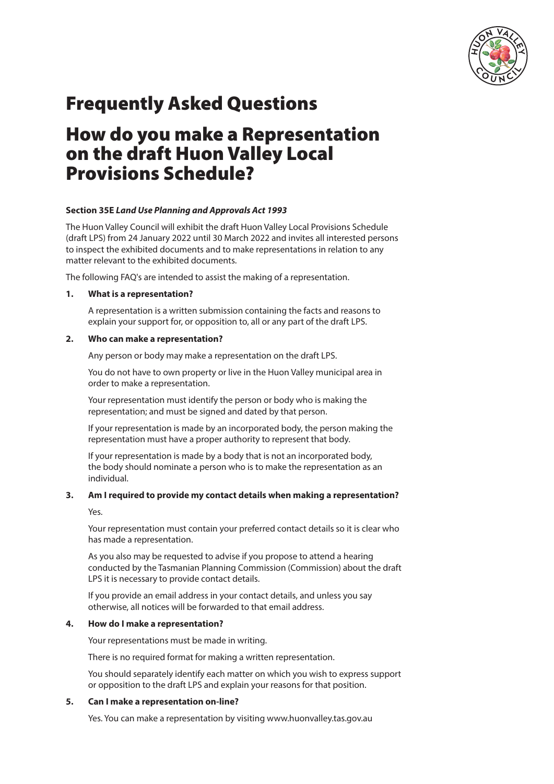

# Frequently Asked Questions

# How do you make a Representation on the draft Huon Valley Local Provisions Schedule?

# **Section 35E** *Land Use Planning and Approvals Act 1993*

The Huon Valley Council will exhibit the draft Huon Valley Local Provisions Schedule (draft LPS) from 24 January 2022 until 30 March 2022 and invites all interested persons to inspect the exhibited documents and to make representations in relation to any matter relevant to the exhibited documents.

The following FAQ's are intended to assist the making of a representation.

# **1. What is a representation?**

A representation is a written submission containing the facts and reasons to explain your support for, or opposition to, all or any part of the draft LPS.

### **2. Who can make a representation?**

Any person or body may make a representation on the draft LPS.

You do not have to own property or live in the Huon Valley municipal area in order to make a representation.

Your representation must identify the person or body who is making the representation; and must be signed and dated by that person.

If your representation is made by an incorporated body, the person making the representation must have a proper authority to represent that body.

If your representation is made by a body that is not an incorporated body, the body should nominate a person who is to make the representation as an individual.

# **3. Am I required to provide my contact details when making a representation?**

Yes.

Your representation must contain your preferred contact details so it is clear who has made a representation.

As you also may be requested to advise if you propose to attend a hearing conducted by the Tasmanian Planning Commission (Commission) about the draft LPS it is necessary to provide contact details.

If you provide an email address in your contact details, and unless you say otherwise, all notices will be forwarded to that email address.

# **4. How do I make a representation?**

Your representations must be made in writing.

There is no required format for making a written representation.

You should separately identify each matter on which you wish to express support or opposition to the draft LPS and explain your reasons for that position.

# **5. Can I make a representation on-line?**

Yes. You can make a representation by visiting www.huonvalley.tas.gov.au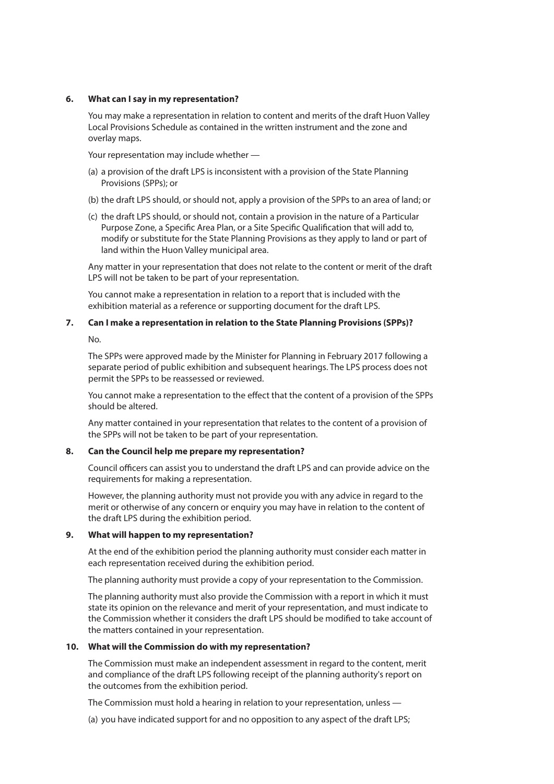### **6. What can I say in my representation?**

You may make a representation in relation to content and merits of the draft Huon Valley Local Provisions Schedule as contained in the written instrument and the zone and overlay maps.

Your representation may include whether —

- (a) a provision of the draft LPS is inconsistent with a provision of the State Planning Provisions (SPPs); or
- (b) the draft LPS should, or should not, apply a provision of the SPPs to an area of land; or
- (c) the draft LPS should, or should not, contain a provision in the nature of a Particular Purpose Zone, a Specific Area Plan, or a Site Specific Qualification that will add to, modify or substitute for the State Planning Provisions as they apply to land or part of land within the Huon Valley municipal area.

Any matter in your representation that does not relate to the content or merit of the draft LPS will not be taken to be part of your representation.

You cannot make a representation in relation to a report that is included with the exhibition material as a reference or supporting document for the draft LPS.

# **7. Can I make a representation in relation to the State Planning Provisions (SPPs)?**

No.

The SPPs were approved made by the Minister for Planning in February 2017 following a separate period of public exhibition and subsequent hearings. The LPS process does not permit the SPPs to be reassessed or reviewed.

You cannot make a representation to the effect that the content of a provision of the SPPs should be altered.

Any matter contained in your representation that relates to the content of a provision of the SPPs will not be taken to be part of your representation.

# **8. Can the Council help me prepare my representation?**

Council officers can assist you to understand the draft LPS and can provide advice on the requirements for making a representation.

However, the planning authority must not provide you with any advice in regard to the merit or otherwise of any concern or enquiry you may have in relation to the content of the draft LPS during the exhibition period.

# **9. What will happen to my representation?**

At the end of the exhibition period the planning authority must consider each matter in each representation received during the exhibition period.

The planning authority must provide a copy of your representation to the Commission.

The planning authority must also provide the Commission with a report in which it must state its opinion on the relevance and merit of your representation, and must indicate to the Commission whether it considers the draft LPS should be modified to take account of the matters contained in your representation.

# **10. What will the Commission do with my representation?**

The Commission must make an independent assessment in regard to the content, merit and compliance of the draft LPS following receipt of the planning authority's report on the outcomes from the exhibition period.

The Commission must hold a hearing in relation to your representation, unless —

(a) you have indicated support for and no opposition to any aspect of the draft LPS;